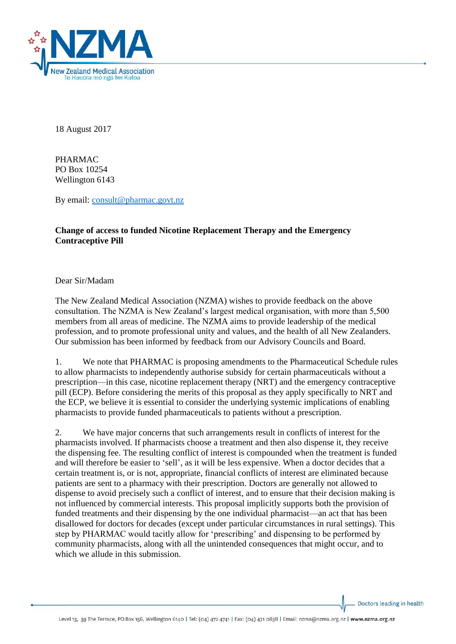

18 August 2017

PHARMAC PO Box 10254 Wellington 6143

By email: [consult@pharmac.govt.nz](mailto:consult@pharmac.govt.nz)

## **Change of access to funded Nicotine Replacement Therapy and the Emergency Contraceptive Pill**

## Dear Sir/Madam

The New Zealand Medical Association (NZMA) wishes to provide feedback on the above consultation. The NZMA is New Zealand's largest medical organisation, with more than 5,500 members from all areas of medicine. The NZMA aims to provide leadership of the medical profession, and to promote professional unity and values, and the health of all New Zealanders. Our submission has been informed by feedback from our Advisory Councils and Board.

1. We note that PHARMAC is proposing amendments to the Pharmaceutical Schedule rules to allow pharmacists to independently authorise subsidy for certain pharmaceuticals without a prescription—in this case, nicotine replacement therapy (NRT) and the emergency contraceptive pill (ECP). Before considering the merits of this proposal as they apply specifically to NRT and the ECP, we believe it is essential to consider the underlying systemic implications of enabling pharmacists to provide funded pharmaceuticals to patients without a prescription.

2. We have major concerns that such arrangements result in conflicts of interest for the pharmacists involved. If pharmacists choose a treatment and then also dispense it, they receive the dispensing fee. The resulting conflict of interest is compounded when the treatment is funded and will therefore be easier to 'sell', as it will be less expensive. When a doctor decides that a certain treatment is, or is not, appropriate, financial conflicts of interest are eliminated because patients are sent to a pharmacy with their prescription. Doctors are generally not allowed to dispense to avoid precisely such a conflict of interest, and to ensure that their decision making is not influenced by commercial interests. This proposal implicitly supports both the provision of funded treatments and their dispensing by the one individual pharmacist—an act that has been disallowed for doctors for decades (except under particular circumstances in rural settings). This step by PHARMAC would tacitly allow for 'prescribing' and dispensing to be performed by community pharmacists, along with all the unintended consequences that might occur, and to which we allude in this submission.

Doctors leading in health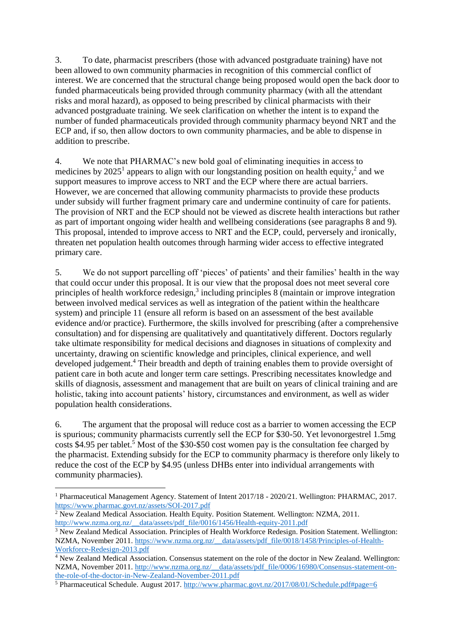3. To date, pharmacist prescribers (those with advanced postgraduate training) have not been allowed to own community pharmacies in recognition of this commercial conflict of interest. We are concerned that the structural change being proposed would open the back door to funded pharmaceuticals being provided through community pharmacy (with all the attendant risks and moral hazard), as opposed to being prescribed by clinical pharmacists with their advanced postgraduate training. We seek clarification on whether the intent is to expand the number of funded pharmaceuticals provided through community pharmacy beyond NRT and the ECP and, if so, then allow doctors to own community pharmacies, and be able to dispense in addition to prescribe.

4. We note that PHARMAC's new bold goal of eliminating inequities in access to medicines by  $2025^1$  appears to align with our longstanding position on health equity,<sup>2</sup> and we support measures to improve access to NRT and the ECP where there are actual barriers. However, we are concerned that allowing community pharmacists to provide these products under subsidy will further fragment primary care and undermine continuity of care for patients. The provision of NRT and the ECP should not be viewed as discrete health interactions but rather as part of important ongoing wider health and wellbeing considerations (see paragraphs 8 and 9). This proposal, intended to improve access to NRT and the ECP, could, perversely and ironically, threaten net population health outcomes through harming wider access to effective integrated primary care.

5. We do not support parcelling off 'pieces' of patients' and their families' health in the way that could occur under this proposal. It is our view that the proposal does not meet several core principles of health workforce redesign,<sup>3</sup> including principles 8 (maintain or improve integration between involved medical services as well as integration of the patient within the healthcare system) and principle 11 (ensure all reform is based on an assessment of the best available evidence and/or practice). Furthermore, the skills involved for prescribing (after a comprehensive consultation) and for dispensing are qualitatively and quantitatively different. Doctors regularly take ultimate responsibility for medical decisions and diagnoses in situations of complexity and uncertainty, drawing on scientific knowledge and principles, clinical experience, and well developed judgement.<sup>4</sup> Their breadth and depth of training enables them to provide oversight of patient care in both acute and longer term care settings. Prescribing necessitates knowledge and skills of diagnosis, assessment and management that are built on years of clinical training and are holistic, taking into account patients' history, circumstances and environment, as well as wider population health considerations.

6. The argument that the proposal will reduce cost as a barrier to women accessing the ECP is spurious; community pharmacists currently sell the ECP for \$30-50. Yet levonorgestrel 1.5mg costs \$4.95 per tablet.<sup>5</sup> Most of the \$30-\$50 cost women pay is the consultation fee charged by the pharmacist. Extending subsidy for the ECP to community pharmacy is therefore only likely to reduce the cost of the ECP by \$4.95 (unless DHBs enter into individual arrangements with community pharmacies).

**.** 

<sup>1</sup> Pharmaceutical Management Agency. Statement of Intent 2017/18 - 2020/21. Wellington: PHARMAC, 2017. <https://www.pharmac.govt.nz/assets/SOI-2017.pdf>

 $2$  New Zealand Medical Association. Health Equity. Position Statement. Wellington: NZMA, 2011. [http://www.nzma.org.nz/\\_\\_data/assets/pdf\\_file/0016/1456/Health-equity-2011.pdf](http://www.nzma.org.nz/__data/assets/pdf_file/0016/1456/Health-equity-2011.pdf)

<sup>&</sup>lt;sup>3</sup> New Zealand Medical Association. Principles of Health Workforce Redesign. Position Statement. Wellington: NZMA, November 2011. [https://www.nzma.org.nz/\\_\\_data/assets/pdf\\_file/0018/1458/Principles-of-Health-](https://www.nzma.org.nz/__data/assets/pdf_file/0018/1458/Principles-of-Health-Workforce-Redesign-2013.pdf)[Workforce-Redesign-2013.pdf](https://www.nzma.org.nz/__data/assets/pdf_file/0018/1458/Principles-of-Health-Workforce-Redesign-2013.pdf)

<sup>&</sup>lt;sup>4</sup> New Zealand Medical Association. Consensus statement on the role of the doctor in New Zealand. Wellington: NZMA, November 2011. [http://www.nzma.org.nz/\\_\\_data/assets/pdf\\_file/0006/16980/Consensus-statement-on](http://www.nzma.org.nz/__data/assets/pdf_file/0006/16980/Consensus-statement-on-the-role-of-the-doctor-in-New-Zealand-November-2011.pdf)[the-role-of-the-doctor-in-New-Zealand-November-2011.pdf](http://www.nzma.org.nz/__data/assets/pdf_file/0006/16980/Consensus-statement-on-the-role-of-the-doctor-in-New-Zealand-November-2011.pdf)

<sup>5</sup> Pharmaceutical Schedule. August 2017.<http://www.pharmac.govt.nz/2017/08/01/Schedule.pdf#page=6>